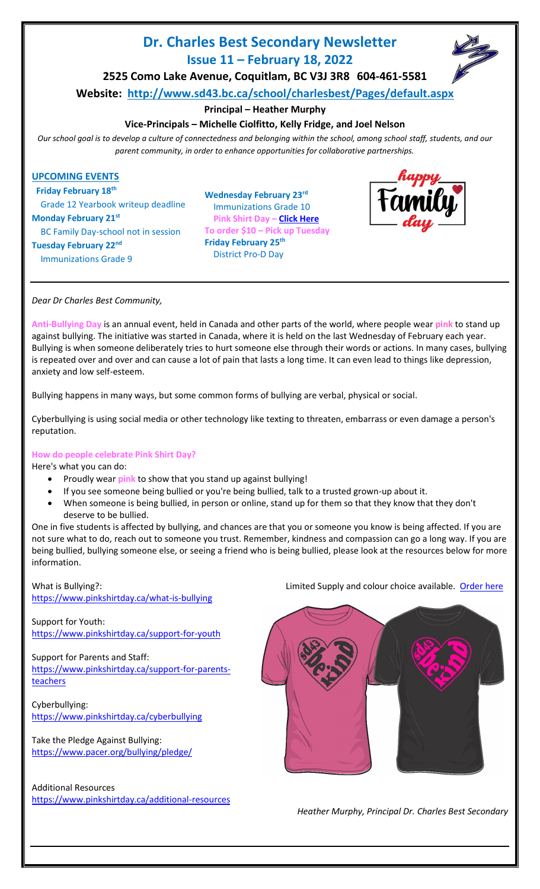# **Dr. Charles Best Secondary Newsletter Issue 11 – February 18, 2022**



**2525 Como Lake Avenue, Coquitlam, BC V3J 3R8 604-461-5581**

**Website: <http://www.sd43.bc.ca/school/charlesbest/Pages/default.aspx>**

# **Principal – Heather Murphy**

# **Vice-Principals – Michelle Ciolfitto, Kelly Fridge, and Joel Nelson**

*Our school goal is to develop a culture of connectedness and belonging within the school, among school staff, students, and our parent community, in order to enhance opportunities for collaborative partnerships.*

## **UPCOMING EVENTS**

 **Friday February 18th** Grade 12 Yearbook writeup deadline **Monday February 21st** BC Family Day-school not in session **Tuesday February 22nd** Immunizations Grade 9

**Wednesday February 23rd** Immunizations Grade 10 **Pink Shirt Day – [Click Here](https://forms.office.com/r/nKnK9tpHFB) To order \$10 – Pick up Tuesday Friday February 25th** District Pro-D Day



*Dear Dr Charles Best Community,*

**Anti-Bullying Day** is an annual event, held in Canada and other parts of the world, where people wear **pink** to stand up against bullying. The initiative was started in Canada, where it is held on the last Wednesday of February each year. Bullying is when someone deliberately tries to hurt someone else through their words or actions. In many cases, bullying is repeated over and over and can cause a lot of pain that lasts a long time. It can even lead to things like depression, anxiety and low self-esteem.

Bullying happens in many ways, but some common forms of bullying are verbal, physical or social.

Cyberbullying is using social media or other technology like texting to threaten, embarrass or even damage a person's reputation.

## **How do people celebrate Pink Shirt Day?**

Here's what you can do:

- Proudly wear **pink** to show that you stand up against bullying!
- If you see someone being bullied or you're being bullied, talk to a trusted grown-up about it.
- When someone is being bullied, in person or online, stand up for them so that they know that they don't deserve to be bullied.

One in five students is affected by bullying, and chances are that you or someone you know is being affected. If you are not sure what to do, reach out to someone you trust. Remember, kindness and compassion can go a long way. If you are being bullied, bullying someone else, or seeing a friend who is being bullied, please look at the resources below for more information.

<https://www.pinkshirtday.ca/what-is-bullying>

Support for Youth: <https://www.pinkshirtday.ca/support-for-youth>

Support for Parents and Staff: [https://www.pinkshirtday.ca/support-for-parents](https://www.pinkshirtday.ca/support-for-parents-teachers)[teachers](https://www.pinkshirtday.ca/support-for-parents-teachers)

Cyberbullying: <https://www.pinkshirtday.ca/cyberbullying>

Take the Pledge Against Bullying: <https://www.pacer.org/bullying/pledge/>

Additional Resources <https://www.pinkshirtday.ca/additional-resources>

What is Bullying?: Limited Supply and colour choice available. [Order here](https://forms.office.com/r/nKnK9tpHFB) when the unit of the state of the state of the state of the state of the state of the state of the state of the state of the state of the state of t



*Heather Murphy, Principal Dr. Charles Best Secondary*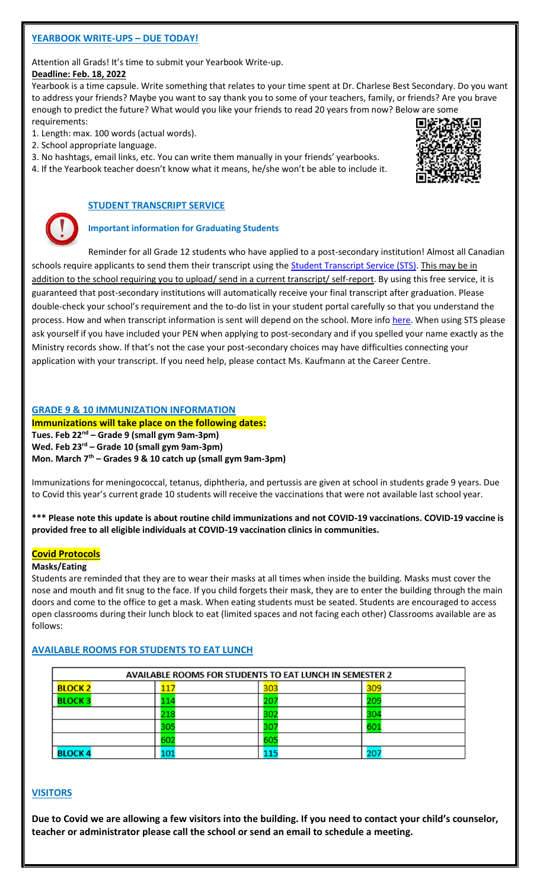# **YEARBOOK WRITE-UPS – DUE TODAY!**

Attention all Grads! It's time to submit your Yearbook Write-up.

#### **Deadline: Feb. 18, 2022**

Yearbook is a time capsule. Write something that relates to your time spent at Dr. Charlese Best Secondary. Do you want to address your friends? Maybe you want to say thank you to some of your teachers, family, or friends? Are you brave enough to predict the future? What would you like your friends to read 20 years from now? Below are some

requirements: 1. Length: max. 100 words (actual words).

2. School appropriate language.

3. No hashtags, email links, etc. You can write them manually in your friends' yearbooks.

4. If the Yearbook teacher doesn't know what it means, he/she won't be able to include it.



## **STUDENT TRANSCRIPT SERVICE**

## **Important information for Graduating Students**

Reminder for all Grade 12 students who have applied to a post-secondary institution! Almost all Canadian schools require applicants to send them their transcript using the **Student Transcript Service (STS)**. This may be in addition to the school requiring you to upload/ send in a current transcript/ self-report. By using this free service, it is guaranteed that post-secondary institutions will automatically receive your final transcript after graduation. Please double-check your school's requirement and the to-do list in your student portal carefully so that you understand the process. How and when transcript information is sent will depend on the school. More inf[o here.](https://www2.gov.bc.ca/gov/content/education-training/k-12/support/transcripts-and-certificates/post-secondary-selection) When using STS please ask yourself if you have included your PEN when applying to post-secondary and if you spelled your name exactly as the Ministry records show. If that's not the case your post-secondary choices may have difficulties connecting your application with your transcript. If you need help, please contact Ms. Kaufmann at the Career Centre.

## **GRADE 9 & 10 IMMUNIZATION INFORMATION**

**Immunizations will take place on the following dates: Tues. Feb 22nd – Grade 9 (small gym 9am-3pm) Wed. Feb 23rd – Grade 10 (small gym 9am-3pm) Mon. March 7th – Grades 9 & 10 catch up (small gym 9am-3pm)**

Immunizations for meningococcal, tetanus, diphtheria, and pertussis are given at school in students grade 9 years. Due to Covid this year's current grade 10 students will receive the vaccinations that were not available last school year.

**\*\*\* Please note this update is about routine child immunizations and not COVID-19 vaccinations. COVID-19 vaccine is provided free to all eligible individuals at COVID-19 vaccination clinics in communities.**

#### **Covid Protocols**

#### **Masks/Eating**

Students are reminded that they are to wear their masks at all times when inside the building. Masks must cover the nose and mouth and fit snug to the face. If you child forgets their mask, they are to enter the building through the main doors and come to the office to get a mask. When eating students must be seated. Students are encouraged to access open classrooms during their lunch block to eat (limited spaces and not facing each other) Classrooms available are as follows:

## **AVAILABLE ROOMS FOR STUDENTS TO EAT LUNCH**

| <b>AVAILABLE ROOMS FOR STUDENTS TO EAT LUNCH IN SEMESTER 2</b> |    |             |     |  |
|----------------------------------------------------------------|----|-------------|-----|--|
| <b>BLOCK 2</b>                                                 |    | 303         | 309 |  |
| <b>BLOCK3</b>                                                  |    | <u> 107</u> |     |  |
|                                                                |    | 302         |     |  |
|                                                                |    | 307         | 60  |  |
|                                                                | 60 | 605         |     |  |
| <b>BLOCK4</b>                                                  |    |             |     |  |

## **VISITORS**

**Due to Covid we are allowing a few visitors into the building. If you need to contact your child's counselor, teacher or administrator please call the school or send an email to schedule a meeting.**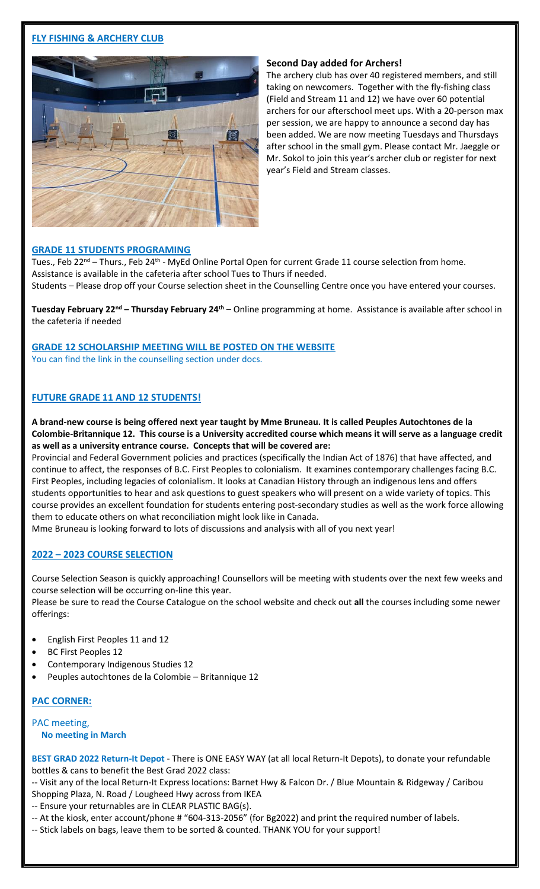# **FLY FISHING & ARCHERY CLUB**



#### **Second Day added for Archers!**

The archery club has over 40 registered members, and still taking on newcomers. Together with the fly-fishing class (Field and Stream 11 and 12) we have over 60 potential archers for our afterschool meet ups. With a 20-person max per session, we are happy to announce a second day has been added. We are now meeting Tuesdays and Thursdays after school in the small gym. Please contact Mr. Jaeggle or Mr. Sokol to join this year's archer club or register for next year's Field and Stream classes.

#### **GRADE 11 STUDENTS PROGRAMING**

Tues., Feb 22<sup>nd</sup> – Thurs., Feb 24<sup>th</sup> - MyEd Online Portal Open for current Grade 11 course selection from home. Assistance is available in the cafeteria after school Tues to Thurs if needed. Students – Please drop off your Course selection sheet in the Counselling Centre once you have entered your courses.

**Tuesday February 22<sup>nd</sup> – Thursday February 24<sup>th</sup> – Online programming at home. Assistance is available after school in** the cafeteria if needed

## **GRADE 12 SCHOLARSHIP MEETING WILL BE POSTED ON THE WEBSITE**

You can find the link in the counselling section under docs.

## **FUTURE GRADE 11 AND 12 STUDENTS!**

**A brand-new course is being offered next year taught by Mme Bruneau. It is called Peuples Autochtones de la Colombie-Britannique 12. This course is a University accredited course which means it will serve as a language credit as well as a university entrance course. Concepts that will be covered are:** 

Provincial and Federal Government policies and practices (specifically the Indian Act of 1876) that have affected, and continue to affect, the responses of B.C. First Peoples to colonialism. It examines contemporary challenges facing B.C. First Peoples, including legacies of colonialism. It looks at Canadian History through an indigenous lens and offers students opportunities to hear and ask questions to guest speakers who will present on a wide variety of topics. This course provides an excellent foundation for students entering post-secondary studies as well as the work force allowing them to educate others on what reconciliation might look like in Canada.

Mme Bruneau is looking forward to lots of discussions and analysis with all of you next year!

#### **2022 – 2023 COURSE SELECTION**

Course Selection Season is quickly approaching! Counsellors will be meeting with students over the next few weeks and course selection will be occurring on-line this year.

Please be sure to read the Course Catalogue on the school website and check out **all** the courses including some newer offerings:

- English First Peoples 11 and 12
- BC First Peoples 12
- Contemporary Indigenous Studies 12
- Peuples autochtones de la Colombie Britannique 12

#### **PAC CORNER:**

#### PAC meeting, **No meeting in March**

**BEST GRAD 2022 Return-It Depot** - There is ONE EASY WAY (at all local Return-It Depots), to donate your refundable bottles & cans to benefit the Best Grad 2022 class:

-- Visit any of the local Return-It Express locations: Barnet Hwy & Falcon Dr. / Blue Mountain & Ridgeway / Caribou Shopping Plaza, N. Road / Lougheed Hwy across from IKEA

-- Ensure your returnables are in CLEAR PLASTIC BAG(s).

-- At the kiosk, enter account/phone # "604-313-2056" (for Bg2022) and print the required number of labels.

-- Stick labels on bags, leave them to be sorted & counted. THANK YOU for your support!